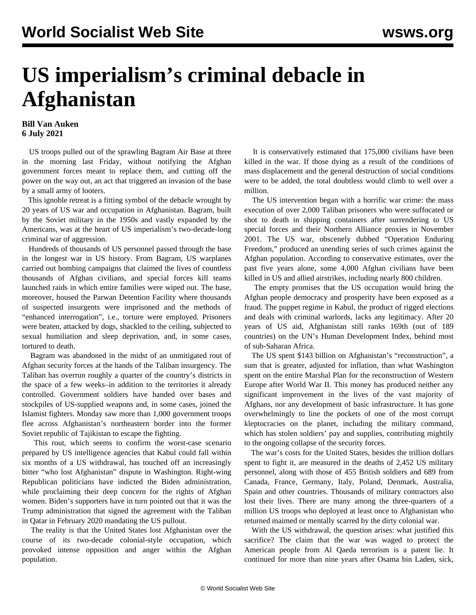## **US imperialism's criminal debacle in Afghanistan**

## **Bill Van Auken 6 July 2021**

 US troops pulled out of the sprawling Bagram Air Base at three in the morning last Friday, without notifying the Afghan government forces meant to replace them, and cutting off the power on the way out, an act that triggered an invasion of the base by a small army of looters.

 This ignoble retreat is a fitting symbol of the debacle wrought by 20 years of US war and occupation in Afghanistan. Bagram, built by the Soviet military in the 1950s and vastly expanded by the Americans, was at the heart of US imperialism's two-decade-long criminal war of aggression.

 Hundreds of thousands of US personnel passed through the base in the longest war in US history. From Bagram, US warplanes carried out bombing campaigns that claimed the lives of countless thousands of Afghan civilians, and special forces kill teams launched raids in which entire families were wiped out. The base, moreover, housed the Parwan Detention Facility where thousands of suspected insurgents were imprisoned and the methods of "enhanced interrogation", i.e., torture were employed. Prisoners were beaten, attacked by dogs, shackled to the ceiling, subjected to sexual humiliation and sleep deprivation, and, in some cases, tortured to death.

 Bagram was abandoned in the midst of an unmitigated rout of Afghan security forces at the hands of the Taliban insurgency. The Taliban has overrun roughly a quarter of the country's districts in the space of a few weeks–in addition to the territories it already controlled. Government soldiers have handed over bases and stockpiles of US-supplied weapons and, in some cases, joined the Islamist fighters. Monday saw more than 1,000 government troops flee across Afghanistan's northeastern border into the former Soviet republic of Tajikistan to escape the fighting.

 This rout, which seems to confirm the worst-case scenario prepared by US intelligence agencies that Kabul could fall within six months of a US withdrawal, has touched off an increasingly bitter "who lost Afghanistan" dispute in Washington. Right-wing Republican politicians have indicted the Biden administration, while proclaiming their deep concern for the rights of Afghan women. Biden's supporters have in turn pointed out that it was the Trump administration that signed the agreement with the Taliban in Qatar in February 2020 mandating the US pullout.

 The reality is that the United States lost Afghanistan over the course of its two-decade colonial-style occupation, which provoked intense opposition and anger within the Afghan population.

 It is conservatively estimated that 175,000 civilians have been killed in the war. If those dying as a result of the conditions of mass displacement and the general destruction of social conditions were to be added, the total doubtless would climb to well over a million.

 The US intervention began with a horrific war crime: the mass execution of over 2,000 Taliban prisoners who were suffocated or shot to death in shipping containers after surrendering to US special forces and their Northern Alliance proxies in November 2001. The US war, obscenely dubbed "Operation Enduring Freedom," produced an unending series of such crimes against the Afghan population. According to conservative estimates, over the past five years alone, some 4,000 Afghan civilians have been killed in US and allied airstrikes, including nearly 800 children.

 The empty promises that the US occupation would bring the Afghan people democracy and prosperity have been exposed as a fraud. The puppet regime in Kabul, the product of rigged elections and deals with criminal warlords, lacks any legitimacy. After 20 years of US aid, Afghanistan still ranks 169th (out of 189 countries) on the UN's Human Development Index, behind most of sub-Saharan Africa.

 The US spent \$143 billion on Afghanistan's "reconstruction", a sum that is greater, adjusted for inflation, than what Washington spent on the entire Marshal Plan for the reconstruction of Western Europe after World War II. This money has produced neither any significant improvement in the lives of the vast majority of Afghans, nor any development of basic infrastructure. It has gone overwhelmingly to line the pockets of one of the most corrupt kleptocracies on the planet, including the military command, which has stolen soldiers' pay and supplies, contributing mightily to the ongoing collapse of the security forces.

 The war's costs for the United States, besides the trillion dollars spent to fight it, are measured in the deaths of 2,452 US military personnel, along with those of 455 British soldiers and 689 from Canada, France, Germany, Italy, Poland, Denmark, Australia, Spain and other countries. Thousands of military contractors also lost their lives. There are many among the three-quarters of a million US troops who deployed at least once to Afghanistan who returned maimed or mentally scarred by the dirty colonial war.

 With the US withdrawal, the question arises: what justified this sacrifice? The claim that the war was waged to protect the American people from Al Qaeda terrorism is a patent lie. It continued for more than nine years after Osama bin Laden, sick,